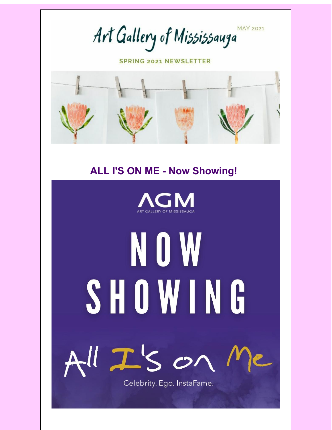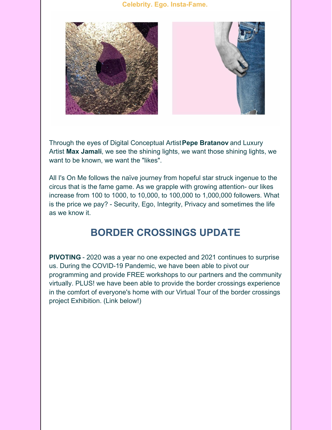### **Celebrity. Ego. Insta-Fame.**



Through the eyes of Digital Conceptual Artist **Pepe Bratanov** and Luxury Artist **Max Jamali**, we see the shining lights, we want those shining lights, we want to be known, we want the "likes".

All I's On Me follows the naïve journey from hopeful star struck ingenue to the circus that is the fame game. As we grapple with growing attention- our likes increase from 100 to 1000, to 10,000, to 100,000 to 1,000,000 followers. What is the price we pay? - Security, Ego, Integrity, Privacy and sometimes the life as we know it.

# **BORDER CROSSINGS UPDATE**

**PIVOTING** - 2020 was a year no one expected and 2021 continues to surprise us. During the COVID-19 Pandemic, we have been able to pivot our programming and provide FREE workshops to our partners and the community virtually. PLUS! we have been able to provide the border crossings experience in the comfort of everyone's home with our Virtual Tour of the border crossings project Exhibition. (Link below!)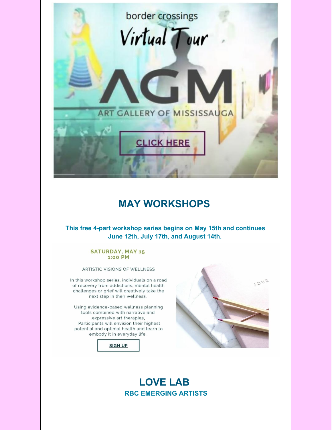

### **MAY WORKSHOPS**

**This free 4-part workshop series begins on May 15th and continues June 12th, July 17th, and August 14th.** 

#### **SATURDAY, MAY 15** 1:00 PM

ARTISTIC VISIONS OF WELLNESS

In this workshop series, individuals on a road of recovery from addictions, mental health challenges or grief will creatively take the next step in their wellness.

Using evidence-based wellness planning tools combined with narrative and expressive art therapies, Participants will envision their highest potential and optimal health and learn to embody it in everyday life.





### **LOVE LAB RBC EMERGING ARTISTS**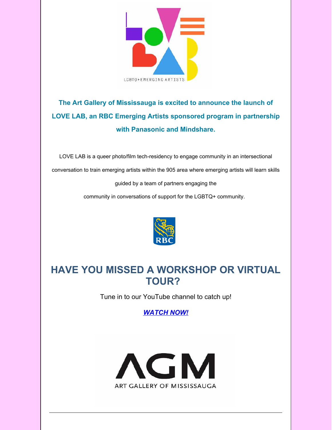

## **The Art Gallery of Mississauga is excited to announce the launch of LOVE LAB, an RBC Emerging Artists sponsored program in partnership with Panasonic and Mindshare.**

LOVE LAB is a queer photo/film tech-residency to engage community in an intersectional conversation to train emerging artists within the 905 area where emerging artists will learn skills guided by a team of partners engaging the

community in conversations of support for the LGBTQ+ community.



# **HAVE YOU MISSED A WORKSHOP OR VIRTUAL TOUR?**

Tune in to our YouTube channel to catch up!

*[WATCH NOW!](https://www.youtube.com/channel/UCJru6jZhQCKs_cp8fcUTMdw)*